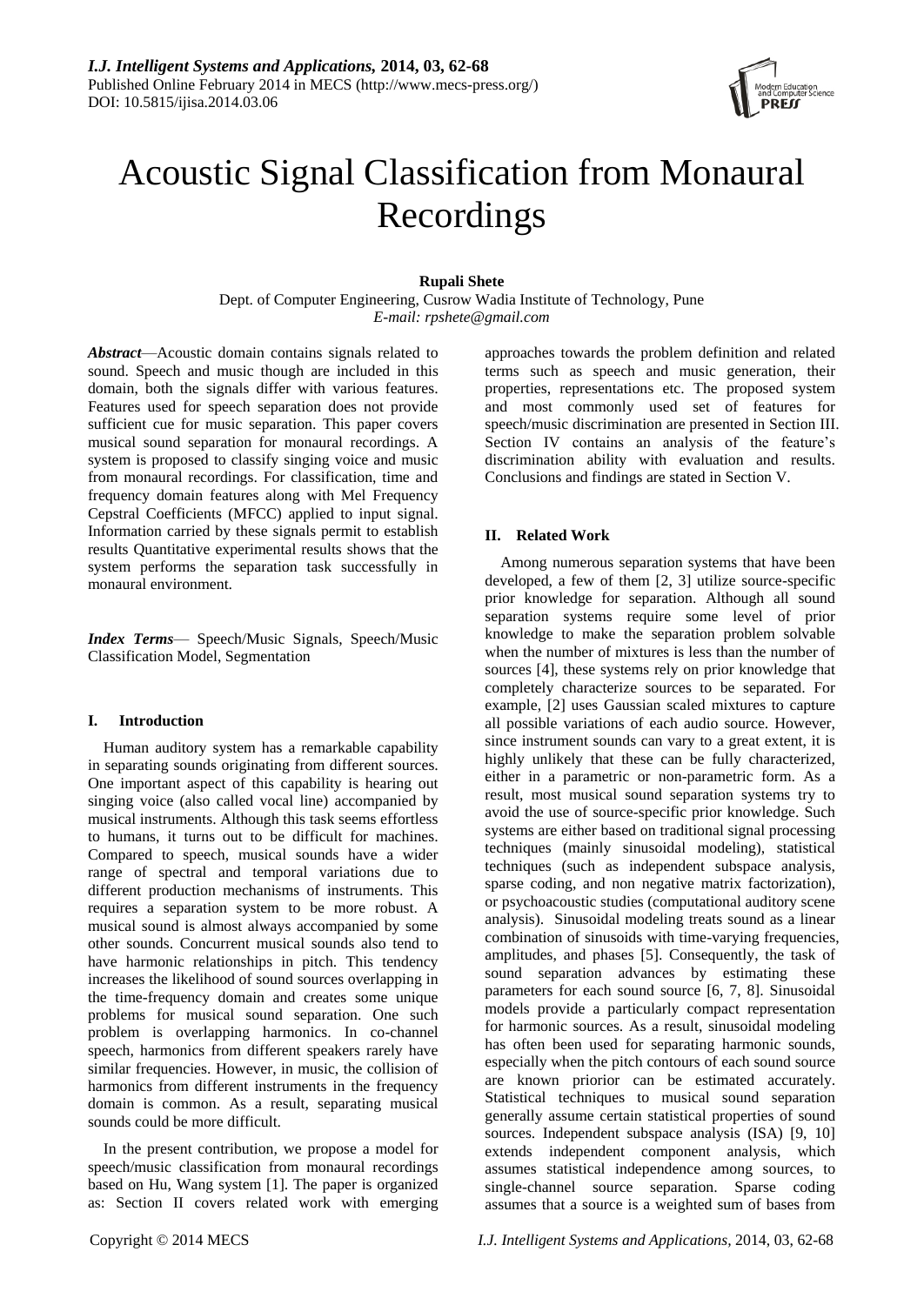

# Acoustic Signal Classification from Monaural Recordings

# **Rupali Shete**

Dept. of Computer Engineering, Cusrow Wadia Institute of Technology, Pune *E-mail: rpshete@gmail.com*

*Abstract*—Acoustic domain contains signals related to sound. Speech and music though are included in this domain, both the signals differ with various features. Features used for speech separation does not provide sufficient cue for music separation. This paper covers musical sound separation for monaural recordings. A system is proposed to classify singing voice and music from monaural recordings. For classification, time and frequency domain features along with Mel Frequency Cepstral Coefficients (MFCC) applied to input signal. Information carried by these signals permit to establish results Quantitative experimental results shows that the system performs the separation task successfully in monaural environment.

*Index Terms*— Speech/Music Signals, Speech/Music Classification Model, Segmentation

# **I. Introduction**

Human auditory system has a remarkable capability in separating sounds originating from different sources. One important aspect of this capability is hearing out singing voice (also called vocal line) accompanied by musical instruments. Although this task seems effortless to humans, it turns out to be difficult for machines. Compared to speech, musical sounds have a wider range of spectral and temporal variations due to different production mechanisms of instruments. This requires a separation system to be more robust. A musical sound is almost always accompanied by some other sounds. Concurrent musical sounds also tend to have harmonic relationships in pitch. This tendency increases the likelihood of sound sources overlapping in the time-frequency domain and creates some unique problems for musical sound separation. One such problem is overlapping harmonics. In co-channel speech, harmonics from different speakers rarely have similar frequencies. However, in music, the collision of harmonics from different instruments in the frequency domain is common. As a result, separating musical sounds could be more difficult.

In the present contribution, we propose a model for speech/music classification from monaural recordings based on Hu, Wang system [1]. The paper is organized as: Section II covers related work with emerging

approaches towards the problem definition and related terms such as speech and music generation, their properties, representations etc. The proposed system and most commonly used set of features for speech/music discrimination are presented in Section III. Section IV contains an analysis of the feature's discrimination ability with evaluation and results. Conclusions and findings are stated in Section V.

# **II. Related Work**

Among numerous separation systems that have been developed, a few of them [2, 3] utilize source-specific prior knowledge for separation. Although all sound separation systems require some level of prior knowledge to make the separation problem solvable when the number of mixtures is less than the number of sources [4], these systems rely on prior knowledge that completely characterize sources to be separated. For example, [2] uses Gaussian scaled mixtures to capture all possible variations of each audio source. However, since instrument sounds can vary to a great extent, it is highly unlikely that these can be fully characterized, either in a parametric or non-parametric form. As a result, most musical sound separation systems try to avoid the use of source-specific prior knowledge. Such systems are either based on traditional signal processing techniques (mainly sinusoidal modeling), statistical techniques (such as independent subspace analysis, sparse coding, and non negative matrix factorization), or psychoacoustic studies (computational auditory scene analysis). Sinusoidal modeling treats sound as a linear combination of sinusoids with time-varying frequencies, amplitudes, and phases [5]. Consequently, the task of sound separation advances by estimating these parameters for each sound source [6, 7, 8]. Sinusoidal models provide a particularly compact representation for harmonic sources. As a result, sinusoidal modeling has often been used for separating harmonic sounds, especially when the pitch contours of each sound source are known priorior can be estimated accurately. Statistical techniques to musical sound separation generally assume certain statistical properties of sound sources. Independent subspace analysis (ISA) [9, 10] extends independent component analysis, which assumes statistical independence among sources, to single-channel source separation. Sparse coding assumes that a source is a weighted sum of bases from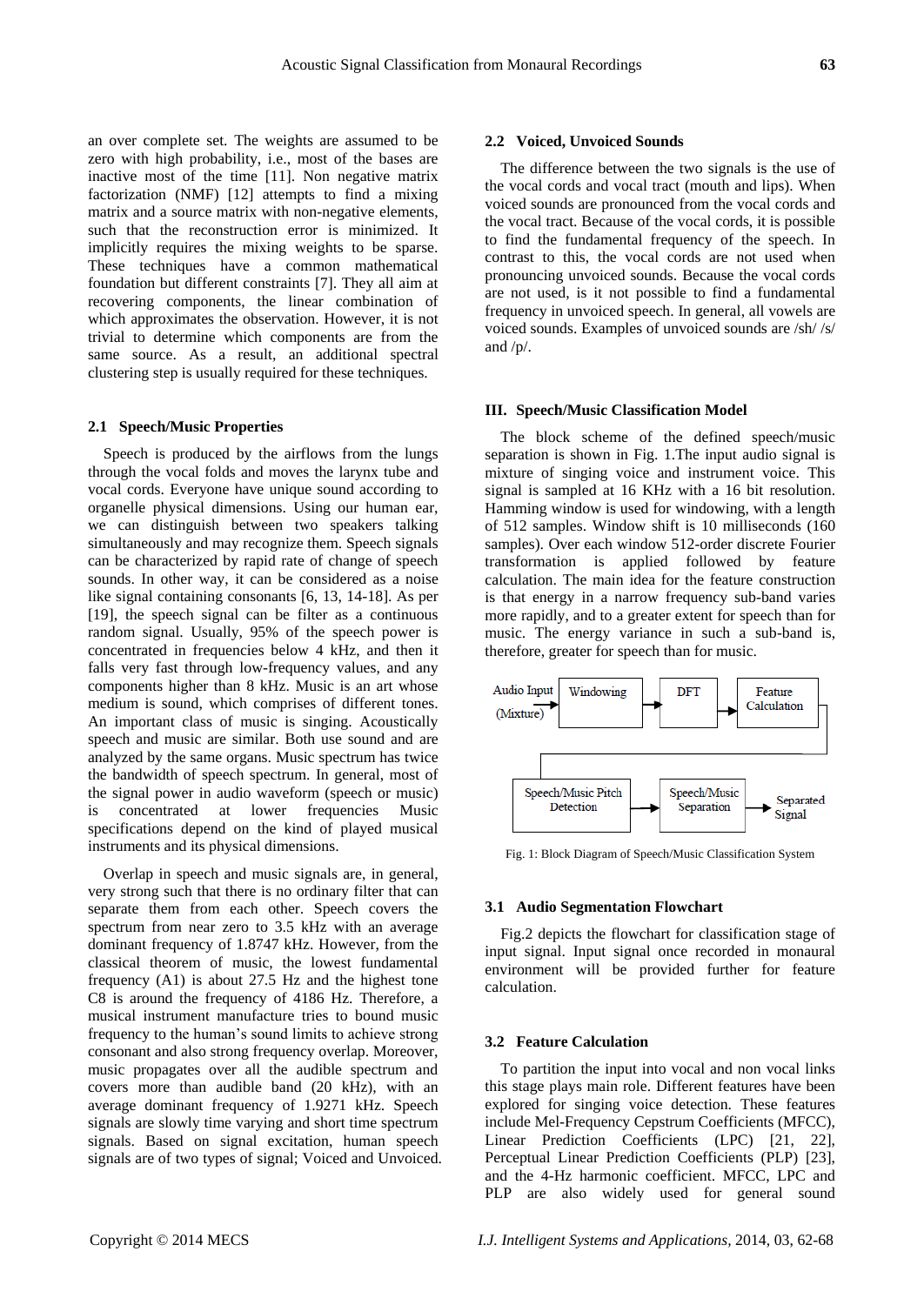an over complete set. The weights are assumed to be zero with high probability, i.e., most of the bases are inactive most of the time [11]. Non negative matrix factorization (NMF) [12] attempts to find a mixing matrix and a source matrix with non-negative elements, such that the reconstruction error is minimized. It implicitly requires the mixing weights to be sparse. These techniques have a common mathematical foundation but different constraints [7]. They all aim at recovering components, the linear combination of which approximates the observation. However, it is not trivial to determine which components are from the same source. As a result, an additional spectral clustering step is usually required for these techniques.

#### **2.1 Speech/Music Properties**

Speech is produced by the airflows from the lungs through the vocal folds and moves the larynx tube and vocal cords. Everyone have unique sound according to organelle physical dimensions. Using our human ear, we can distinguish between two speakers talking simultaneously and may recognize them. Speech signals can be characterized by rapid rate of change of speech sounds. In other way, it can be considered as a noise like signal containing consonants [6, 13, 14-18]. As per [19], the speech signal can be filter as a continuous random signal. Usually, 95% of the speech power is concentrated in frequencies below 4 kHz, and then it falls very fast through low-frequency values, and any components higher than 8 kHz. Music is an art whose medium is sound, which comprises of different tones. An important class of music is singing. Acoustically speech and music are similar. Both use sound and are analyzed by the same organs. Music spectrum has twice the bandwidth of speech spectrum. In general, most of the signal power in audio waveform (speech or music) is concentrated at lower frequencies Music specifications depend on the kind of played musical instruments and its physical dimensions.

Overlap in speech and music signals are, in general, very strong such that there is no ordinary filter that can separate them from each other. Speech covers the spectrum from near zero to 3.5 kHz with an average dominant frequency of 1.8747 kHz. However, from the classical theorem of music, the lowest fundamental frequency (A1) is about 27.5 Hz and the highest tone C8 is around the frequency of 4186 Hz. Therefore, a musical instrument manufacture tries to bound music frequency to the human's sound limits to achieve strong consonant and also strong frequency overlap. Moreover, music propagates over all the audible spectrum and covers more than audible band (20 kHz), with an average dominant frequency of 1.9271 kHz. Speech signals are slowly time varying and short time spectrum signals. Based on signal excitation, human speech signals are of two types of signal; Voiced and Unvoiced.

#### **2.2 Voiced, Unvoiced Sounds**

The difference between the two signals is the use of the vocal cords and vocal tract (mouth and lips). When voiced sounds are pronounced from the vocal cords and the vocal tract. Because of the vocal cords, it is possible to find the fundamental frequency of the speech. In contrast to this, the vocal cords are not used when pronouncing unvoiced sounds. Because the vocal cords are not used, is it not possible to find a fundamental frequency in unvoiced speech. In general, all vowels are voiced sounds. Examples of unvoiced sounds are /sh/ /s/ and /p/.

#### **III. Speech/Music Classification Model**

The block scheme of the defined speech/music separation is shown in Fig. 1.The input audio signal is mixture of singing voice and instrument voice. This signal is sampled at 16 KHz with a 16 bit resolution. Hamming window is used for windowing, with a length of 512 samples. Window shift is 10 milliseconds (160 samples). Over each window 512-order discrete Fourier transformation is applied followed by feature calculation. The main idea for the feature construction is that energy in a narrow frequency sub-band varies more rapidly, and to a greater extent for speech than for music. The energy variance in such a sub-band is, therefore, greater for speech than for music.



Fig. 1: Block Diagram of Speech/Music Classification System

#### **3.1 Audio Segmentation Flowchart**

Fig.2 depicts the flowchart for classification stage of input signal. Input signal once recorded in monaural environment will be provided further for feature calculation.

# **3.2 Feature Calculation**

To partition the input into vocal and non vocal links this stage plays main role. Different features have been explored for singing voice detection. These features include Mel-Frequency Cepstrum Coefficients (MFCC), Linear Prediction Coefficients (LPC) [21, 22], Perceptual Linear Prediction Coefficients (PLP) [23], and the 4-Hz harmonic coefficient. MFCC, LPC and PLP are also widely used for general sound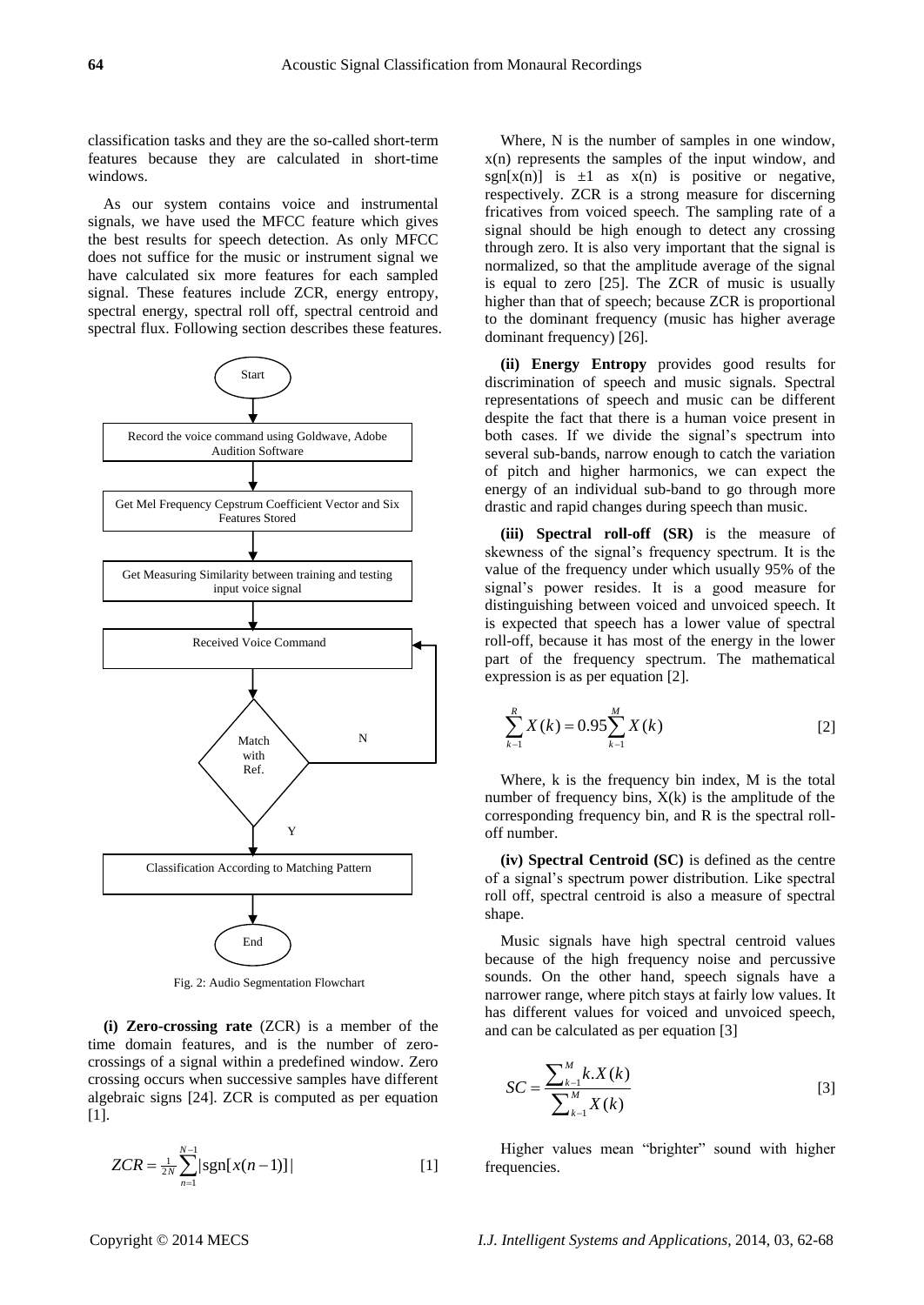classification tasks and they are the so-called short-term features because they are calculated in short-time windows.

As our system contains voice and instrumental signals, we have used the MFCC feature which gives the best results for speech detection. As only MFCC does not suffice for the music or instrument signal we have calculated six more features for each sampled signal. These features include ZCR, energy entropy, spectral energy, spectral roll off, spectral centroid and spectral flux. Following section describes these features.



Fig. 2: Audio Segmentation Flowchart

**(i) Zero-crossing rate** (ZCR) is a member of the time domain features, and is the number of zerocrossings of a signal within a predefined window. Zero crossing occurs when successive samples have different algebraic signs [24]. ZCR is computed as per equation [1].

$$
ZCR = \frac{1}{2N} \sum_{n=1}^{N-1} |sgn[x(n-1)]|
$$
 [1]

Where, N is the number of samples in one window, x(n) represents the samples of the input window, and sgn[x(n)] is  $\pm 1$  as x(n) is positive or negative, respectively. ZCR is a strong measure for discerning fricatives from voiced speech. The sampling rate of a signal should be high enough to detect any crossing through zero. It is also very important that the signal is normalized, so that the amplitude average of the signal is equal to zero [25]. The ZCR of music is usually higher than that of speech; because ZCR is proportional to the dominant frequency (music has higher average dominant frequency) [26].

**(ii) Energy Entropy** provides good results for discrimination of speech and music signals. Spectral representations of speech and music can be different despite the fact that there is a human voice present in both cases. If we divide the signal's spectrum into several sub-bands, narrow enough to catch the variation of pitch and higher harmonics, we can expect the energy of an individual sub-band to go through more drastic and rapid changes during speech than music.

**(iii) Spectral roll-off (SR)** is the measure of skewness of the signal's frequency spectrum. It is the value of the frequency under which usually 95% of the signal's power resides. It is a good measure for distinguishing between voiced and unvoiced speech. It is expected that speech has a lower value of spectral roll-off, because it has most of the energy in the lower part of the frequency spectrum. The mathematical expression is as per equation [2].

$$
\sum_{k=1}^{R} X(k) = 0.95 \sum_{k=1}^{M} X(k)
$$
 [2]

Where, k is the frequency bin index, M is the total number of frequency bins,  $X(k)$  is the amplitude of the corresponding frequency bin, and R is the spectral rolloff number.

**(iv) Spectral Centroid (SC)** is defined as the centre of a signal's spectrum power distribution. Like spectral roll off, spectral centroid is also a measure of spectral shape.

Music signals have high spectral centroid values because of the high frequency noise and percussive sounds. On the other hand, speech signals have a narrower range, where pitch stays at fairly low values. It has different values for voiced and unvoiced speech, and can be calculated as per equation [3]

$$
SC = \frac{\sum_{k=1}^{M} k.X(k)}{\sum_{k=1}^{M} X(k)}
$$
 [3]

Higher values mean "brighter" sound with higher frequencies.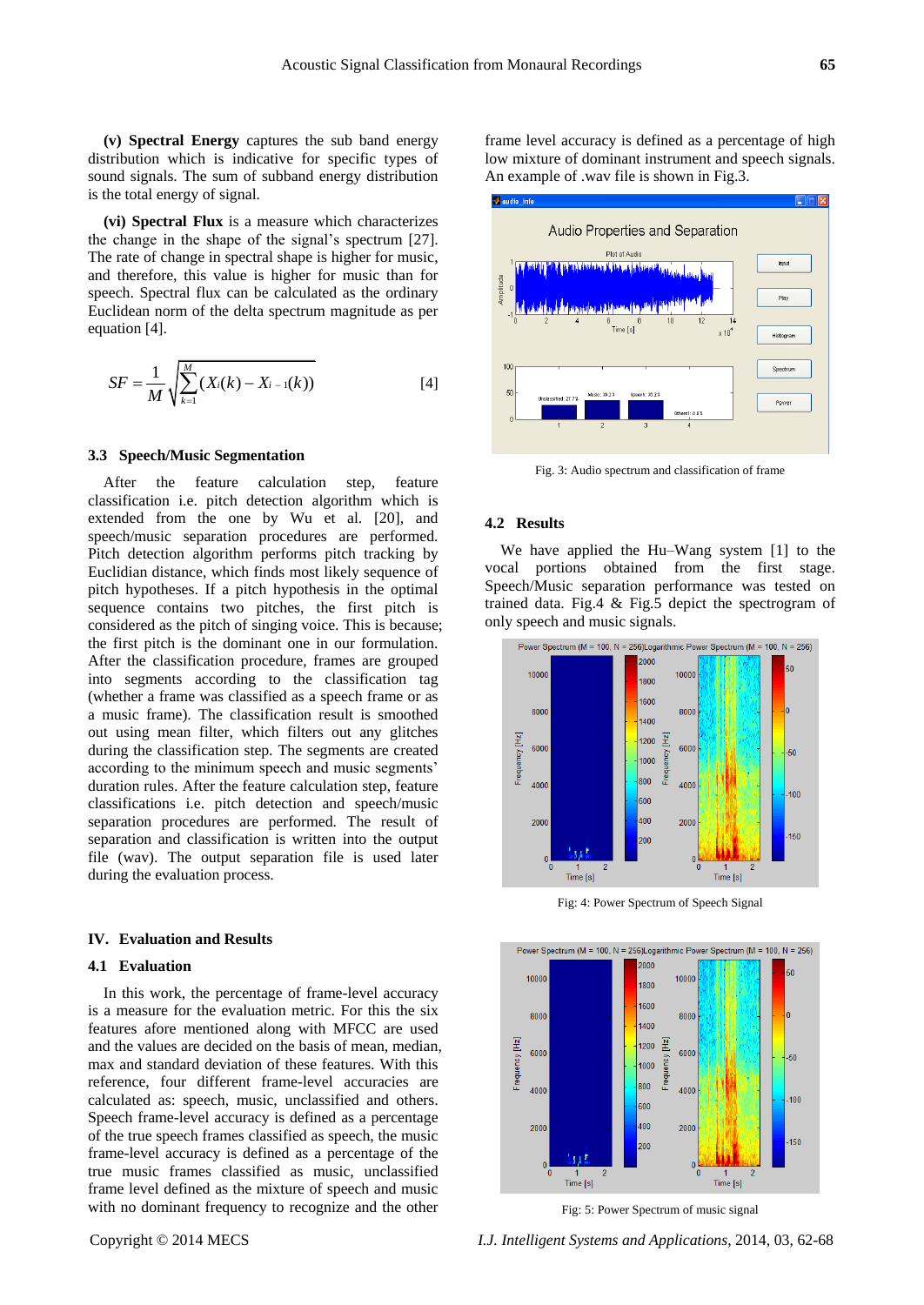**(v) Spectral Energy** captures the sub band energy distribution which is indicative for specific types of sound signals. The sum of subband energy distribution is the total energy of signal.

**(vi) Spectral Flux** is a measure which characterizes the change in the shape of the signal's spectrum [27]. The rate of change in spectral shape is higher for music, and therefore, this value is higher for music than for speech. Spectral flux can be calculated as the ordinary Euclidean norm of the delta spectrum magnitude as per equation [4].

$$
SF = \frac{1}{M} \sqrt{\sum_{k=1}^{M} (X_i(k) - X_{i-1}(k))}
$$
 [4]

#### **3.3 Speech/Music Segmentation**

After the feature calculation step, feature classification i.e. pitch detection algorithm which is extended from the one by Wu et al. [20], and speech/music separation procedures are performed. Pitch detection algorithm performs pitch tracking by Euclidian distance, which finds most likely sequence of pitch hypotheses. If a pitch hypothesis in the optimal sequence contains two pitches, the first pitch is considered as the pitch of singing voice. This is because; the first pitch is the dominant one in our formulation. After the classification procedure, frames are grouped into segments according to the classification tag (whether a frame was classified as a speech frame or as a music frame). The classification result is smoothed out using mean filter, which filters out any glitches during the classification step. The segments are created according to the minimum speech and music segments' duration rules. After the feature calculation step, feature classifications i.e. pitch detection and speech/music separation procedures are performed. The result of separation and classification is written into the output file (wav). The output separation file is used later during the evaluation process.

#### **IV. Evaluation and Results**

#### **4.1 Evaluation**

In this work, the percentage of frame-level accuracy is a measure for the evaluation metric. For this the six features afore mentioned along with MFCC are used and the values are decided on the basis of mean, median, max and standard deviation of these features. With this reference, four different frame-level accuracies are calculated as: speech, music, unclassified and others. Speech frame-level accuracy is defined as a percentage of the true speech frames classified as speech, the music frame-level accuracy is defined as a percentage of the true music frames classified as music, unclassified frame level defined as the mixture of speech and music with no dominant frequency to recognize and the other

frame level accuracy is defined as a percentage of high low mixture of dominant instrument and speech signals. An example of .wav file is shown in Fig.3.



Fig. 3: Audio spectrum and classification of frame

#### **4.2 Results**

We have applied the Hu–Wang system [1] to the vocal portions obtained from the first stage. Speech/Music separation performance was tested on trained data. Fig.4 & Fig.5 depict the spectrogram of only speech and music signals.



Fig: 4: Power Spectrum of Speech Signal



Fig: 5: Power Spectrum of music signal

Copyright © 2014 MECS *I.J. Intelligent Systems and Applications,* 2014, 03, 62-68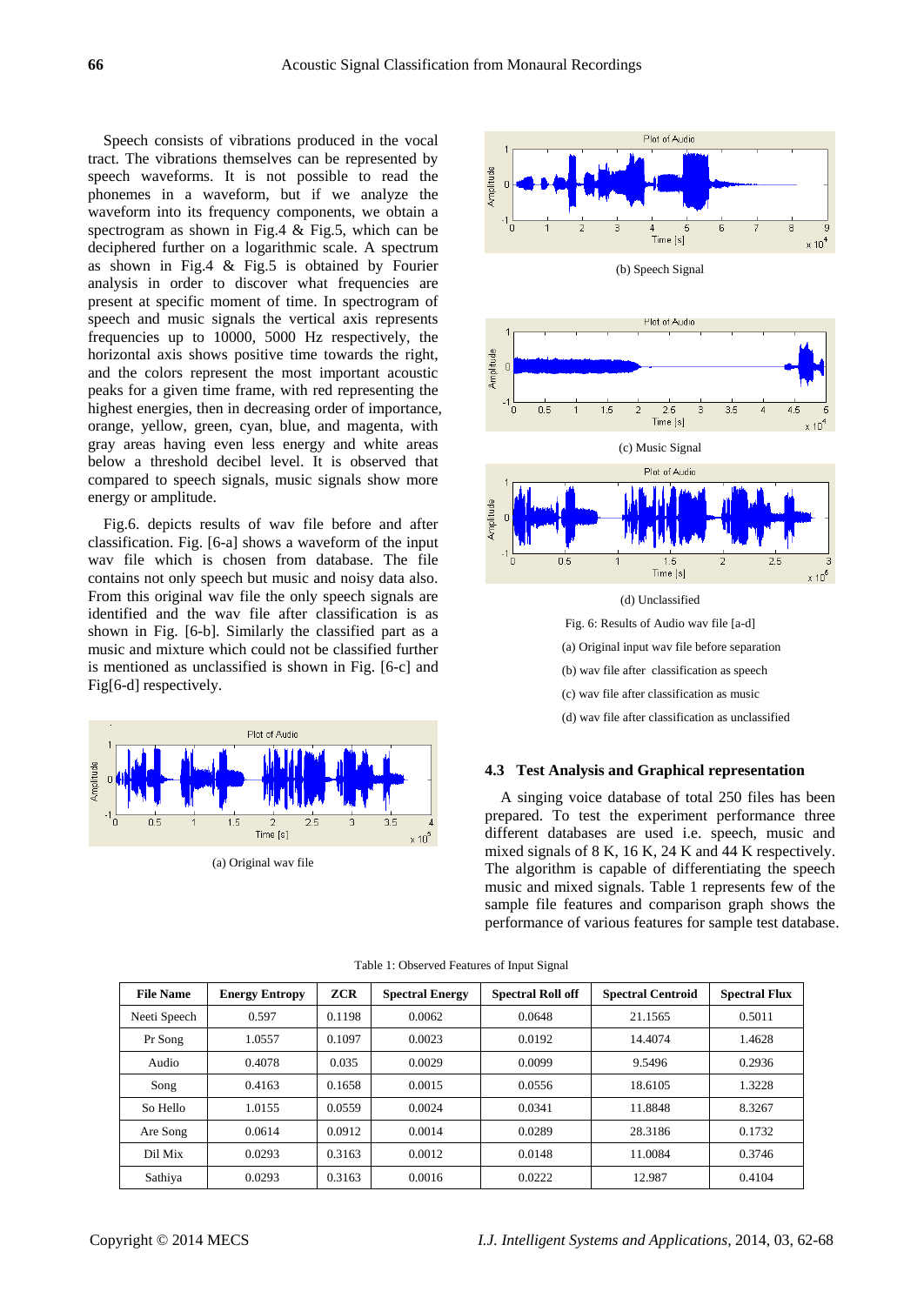Speech consists of vibrations produced in the vocal tract. The vibrations themselves can be represented by speech waveforms. It is not possible to read the phonemes in a waveform, but if we analyze the waveform into its frequency components, we obtain a spectrogram as shown in Fig.4 & Fig.5, which can be deciphered further on a logarithmic scale. A spectrum as shown in Fig.4  $\&$  Fig.5 is obtained by Fourier analysis in order to discover what frequencies are present at specific moment of time. In spectrogram of speech and music signals the vertical axis represents frequencies up to 10000, 5000 Hz respectively, the horizontal axis shows positive time towards the right, and the colors represent the most important acoustic peaks for a given time frame, with red representing the highest energies, then in decreasing order of importance, orange, yellow, green, cyan, blue, and magenta, with gray areas having even less energy and white areas below a threshold decibel level. It is observed that compared to speech signals, music signals show more energy or amplitude.

Fig.6. depicts results of wav file before and after classification. Fig. [6-a] shows a waveform of the input wav file which is chosen from database. The file contains not only speech but music and noisy data also. From this original wav file the only speech signals are identified and the wav file after classification is as shown in Fig. [6-b]. Similarly the classified part as a music and mixture which could not be classified further is mentioned as unclassified is shown in Fig. [6-c] and Fig[6-d] respectively.



(a) Original wav file



## **4.3 Test Analysis and Graphical representation**

A singing voice database of total 250 files has been prepared. To test the experiment performance three different databases are used i.e. speech, music and mixed signals of 8 K, 16 K, 24 K and 44 K respectively. The algorithm is capable of differentiating the speech music and mixed signals. Table 1 represents few of the sample file features and comparison graph shows the performance of various features for sample test database.

| <b>File Name</b> | <b>Energy Entropy</b> | <b>ZCR</b> | <b>Spectral Energy</b> | <b>Spectral Roll off</b> | <b>Spectral Centroid</b> | <b>Spectral Flux</b> |
|------------------|-----------------------|------------|------------------------|--------------------------|--------------------------|----------------------|
| Neeti Speech     | 0.597                 | 0.1198     | 0.0062                 | 0.0648                   | 21.1565                  | 0.5011               |
| Pr Song          | 1.0557                | 0.1097     | 0.0023                 | 0.0192                   | 14.4074                  | 1.4628               |
| Audio            | 0.4078                | 0.035      | 0.0029                 | 0.0099                   | 9.5496                   | 0.2936               |
| Song             | 0.4163                | 0.1658     | 0.0015                 | 0.0556                   | 18.6105                  | 1.3228               |
| So Hello         | 1.0155                | 0.0559     | 0.0024                 | 0.0341                   | 11.8848                  | 8.3267               |
| Are Song         | 0.0614                | 0.0912     | 0.0014                 | 0.0289                   | 28.3186                  | 0.1732               |
| Dil Mix          | 0.0293                | 0.3163     | 0.0012                 | 0.0148                   | 11.0084                  | 0.3746               |
| Sathiya          | 0.0293                | 0.3163     | 0.0016                 | 0.0222                   | 12.987                   | 0.4104               |

Table 1: Observed Features of Input Signal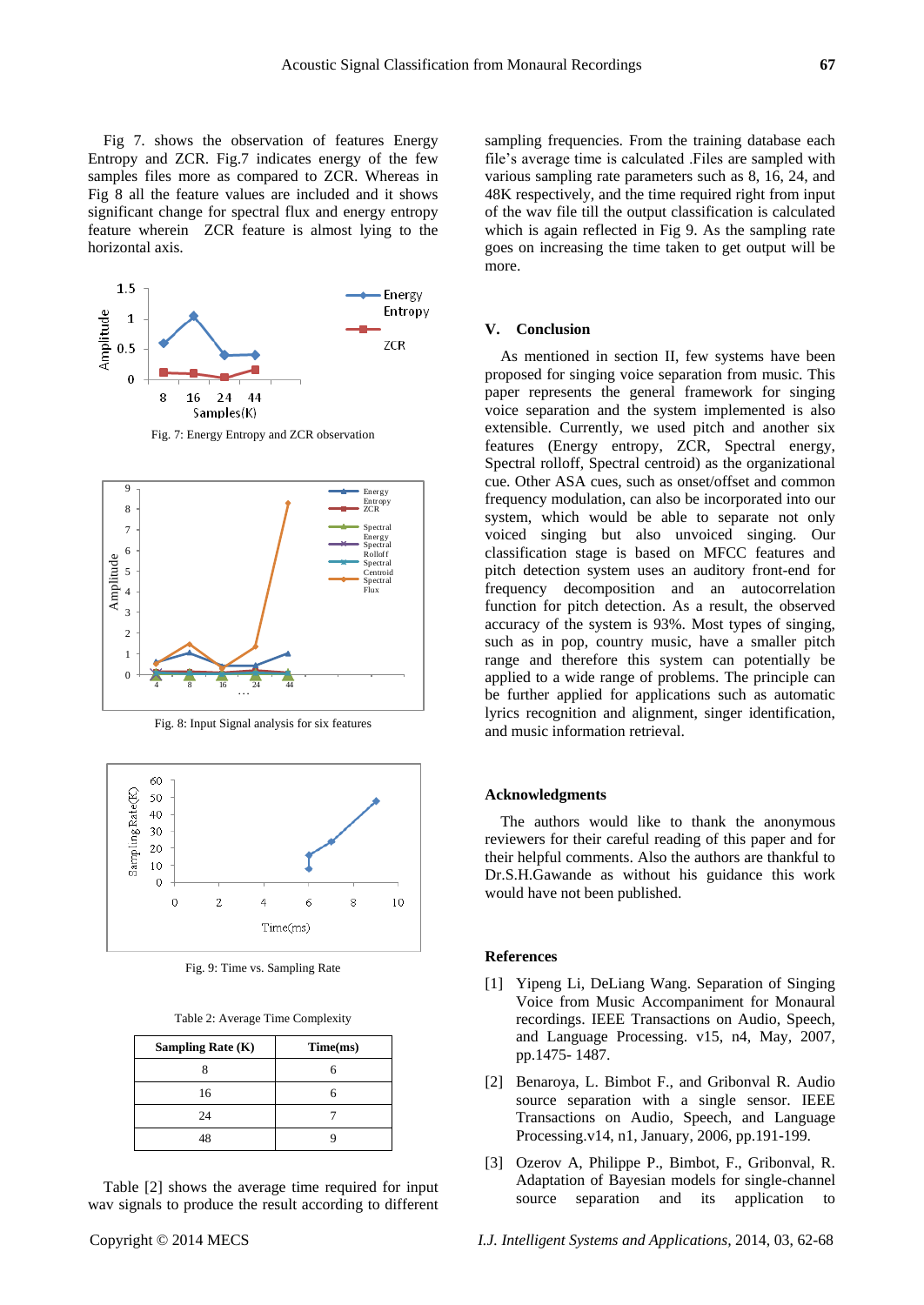Fig 7. shows the observation of features Energy Entropy and ZCR. Fig.7 indicates energy of the few samples files more as compared to ZCR. Whereas in

Fig 8 all the feature values are included and it shows significant change for spectral flux and energy entropy feature wherein ZCR feature is almost lying to the horizontal axis.



Fig. 7: Energy Entropy and ZCR observation



Fig. 8: Input Signal analysis for six features



Fig. 9: Time vs. Sampling Rate

Table 2: Average Time Complexity

| <b>Sampling Rate (K)</b> | Time(ms) |
|--------------------------|----------|
|                          |          |
| 16                       |          |
| 24                       |          |
| 48                       |          |

Table [2] shows the average time required for input wav signals to produce the result according to different

sampling frequencies. From the training database each file's average time is calculated .Files are sampled with various sampling rate parameters such as 8, 16, 24, and 48K respectively, and the time required right from input of the wav file till the output classification is calculated which is again reflected in Fig 9. As the sampling rate goes on increasing the time taken to get output will be more.

#### **V. Conclusion**

As mentioned in section II, few systems have been proposed for singing voice separation from music. This paper represents the general framework for singing voice separation and the system implemented is also extensible. Currently, we used pitch and another six features (Energy entropy, ZCR, Spectral energy, Spectral rolloff, Spectral centroid) as the organizational cue. Other ASA cues, such as onset/offset and common frequency modulation, can also be incorporated into our system, which would be able to separate not only voiced singing but also unvoiced singing. Our classification stage is based on MFCC features and pitch detection system uses an auditory front-end for frequency decomposition and an autocorrelation function for pitch detection. As a result, the observed accuracy of the system is 93%. Most types of singing, such as in pop, country music, have a smaller pitch range and therefore this system can potentially be applied to a wide range of problems. The principle can be further applied for applications such as automatic lyrics recognition and alignment, singer identification, and music information retrieval.

#### **Acknowledgments**

The authors would like to thank the anonymous reviewers for their careful reading of this paper and for their helpful comments. Also the authors are thankful to Dr.S.H.Gawande as without his guidance this work would have not been published.

#### **References**

- [1] Yipeng Li, DeLiang Wang. Separation of Singing Voice from Music Accompaniment for Monaural recordings. IEEE Transactions on Audio, Speech, and Language Processing. v15, n4, May, 2007, pp.1475- 1487.
- [2] Benaroya, L. Bimbot F., and Gribonval R. Audio source separation with a single sensor. IEEE Transactions on Audio, Speech, and Language Processing.v14, n1, January, 2006, pp.191-199.
- [3] Ozerov A, Philippe P., Bimbot, F., Gribonval, R. Adaptation of Bayesian models for single-channel source separation and its application